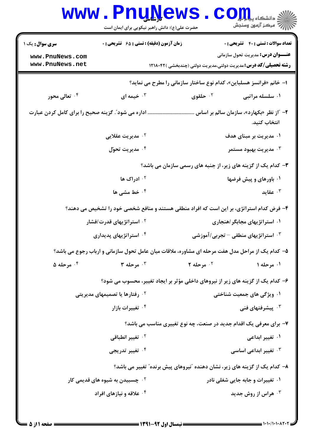|                                                               | <b>www.PnuNews</b><br>حضرت علی(ع): دانش راهبر نیکویی برای ایمان است                              |                                   | $\text{C}$ O $\prod_{i=1}^n$<br>رآ مرڪز آزمون وسنڊش                                                                                                                |
|---------------------------------------------------------------|--------------------------------------------------------------------------------------------------|-----------------------------------|--------------------------------------------------------------------------------------------------------------------------------------------------------------------|
| <b>سری سوال :</b> یک ۱<br>www.PnuNews.com<br>www.PnuNews.net  | <b>زمان آزمون (دقیقه) : تستی : 65 گشریحی : 0</b>                                                 |                                   | <b>تعداد سوالات : تستي : 40 - تشريحي : 0</b><br><b>عنـــوان درس:</b> مدیریت تحول سازمانی<br><b>رشته تحصیلی/کد درس:</b> مدیریت دولتی،مدیریت دولتی (چندبخشی )۱۲۱۸۰۴۲ |
|                                                               |                                                                                                  |                                   |                                                                                                                                                                    |
|                                                               |                                                                                                  |                                   | ا– خانم «فرانسز هسلباین»، کدام نوع ساختار سازمانی را مطرح می نماید؟                                                                                                |
| ۰۴ تعالی محور                                                 | خیمه ای $\cdot$                                                                                  | ۰۲ حلقوی                          | ۰۱ سلسله مراتبی                                                                                                                                                    |
|                                                               |                                                                                                  |                                   | انتخاب كنيد.                                                                                                                                                       |
|                                                               | ۰ <sup>۲</sup> مدیریت عقلایی                                                                     |                                   | ۰۱ مدیریت بر مبنای هدف                                                                                                                                             |
|                                                               | ۰۴ مدیریت تحوّل                                                                                  |                                   | هديريت بهبود مستمر $\cdot^{\mathsf{v}}$                                                                                                                            |
| ۳- کدام یک از گزینه های زیر، از جنبه های رسمی سازمان می باشد؟ |                                                                                                  |                                   |                                                                                                                                                                    |
|                                                               | ۰ <sup>۲</sup> ادراک ها                                                                          |                                   | ۰۱ باورهای و پیش فرضها                                                                                                                                             |
|                                                               | ۰۴ خط مشی ها                                                                                     |                                   | عقايد $\cdot$                                                                                                                                                      |
|                                                               | ۴- فرض کدام استراتژی، بر این است که افراد منطقی هستند و منافع شخصی خود را تشخیص می دهند؟         |                                   |                                                                                                                                                                    |
|                                                               | ۰ <sup>۲</sup> استراتژیهای قدرت/فشار                                                             |                                   | ۰۱ استراتژیهای مجابگر /هنجاری                                                                                                                                      |
|                                                               | ۰۴ استراتژیهای پدیداری                                                                           |                                   | استراتژیهای منطقی – تجربی/آموزشی $\cdot$                                                                                                                           |
|                                                               | ۵– کدام یک از مراحل مدل هفت مرحله ای مشاوره، ملاقات میان عامل تحول سازمانی و ارباب رجوع می باشد؟ |                                   |                                                                                                                                                                    |
| ۰۴ مرحله ۵                                                    | ۰۳ مرحله ۳ $\cdot$                                                                               | $Y \sim \mathcal{A}$ ۰۲ مرحله $Y$ | ۰۱ مرحله ۱                                                                                                                                                         |
|                                                               | ۶– کدام یک از گزینه های زیر از نیروهای داخلی مؤثر بر ایجاد تغییر، محسوب می شود؟                  |                                   |                                                                                                                                                                    |
|                                                               | ۰ <sup>۲</sup> رفتارها یا تصمیمهای مدیریتی                                                       |                                   | ۰۱ ویژگی های جمعیت شناختی                                                                                                                                          |
|                                                               | ۰ <sup>۴</sup> تغییرات بازار                                                                     |                                   | يیشرفتهای فنی $\cdot^{\mathsf{\scriptscriptstyle{T}}}$                                                                                                             |
|                                                               | ۷- برای معرفی یک اقدام جدید در صنعت، چه نوع تغییری مناسب می باشد؟                                |                                   |                                                                                                                                                                    |
|                                                               | <sup>۲</sup> ۰ تغییر انطباقی                                                                     |                                   | ۰۱ تغییر ابداعی                                                                                                                                                    |
|                                                               | ۰ <sup>۴</sup> تغییر تدریجی                                                                      |                                   | نغییر ابداعی اساسی $\cdot^{\texttt{w}}$                                                                                                                            |
|                                                               | ۸– کدام یک از گزینه های زیر، نشان دهنده آنیروهای پیش برنده ّ تغییر می باشد؟                      |                                   |                                                                                                                                                                    |
|                                                               | ۰ <sup>۲</sup> چسبیدن به شیوه های قدیمی کار                                                      |                                   | ۰۱ تغییرات و جابه جایی شغلی نادر                                                                                                                                   |
|                                                               | ۰۴ علاقه و نیازهای افراد                                                                         |                                   | هراس از روش جدید $\cdot$ ۳                                                                                                                                         |
|                                                               |                                                                                                  |                                   |                                                                                                                                                                    |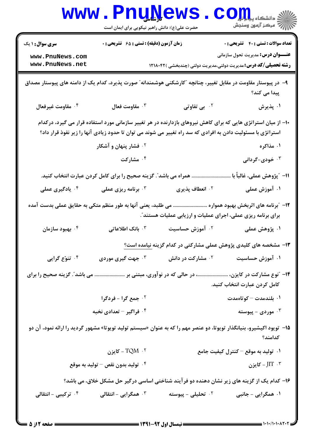|                                                                                                                                                                                                                               | <b>WWW . PNUWEWS</b><br>حضرت علی(ع): دانش راهبر نیکویی برای ایمان است |                                                                                              | ≦ دانشڪاه پ <b>يا پايار</b><br>ڪ<br>رُ⁄ مرڪز آزمون وسنڊش                                                                                                           |  |
|-------------------------------------------------------------------------------------------------------------------------------------------------------------------------------------------------------------------------------|-----------------------------------------------------------------------|----------------------------------------------------------------------------------------------|--------------------------------------------------------------------------------------------------------------------------------------------------------------------|--|
| <b>سری سوال : ۱ یک</b><br>www.PnuNews.com<br>www.PnuNews.net                                                                                                                                                                  | زمان آزمون (دقیقه) : تستی : ۶۵ گتشریحی : 0                            |                                                                                              | <b>تعداد سوالات : تستی : 40 ٪ تشریحی : 0</b><br><b>عنـــوان درس:</b> مدیریت تحول سازمانی<br><b>رشته تحصیلی/کد درس:</b> مدیریت دولتی،مدیریت دولتی (چندبخشی )۱۲۱۸۰۴۲ |  |
| ۹–  در پیوستار مقاومت در مقابل تغییر، چنانچه "کارشکنی هوشمندانه" صورت پذیرد، کدام یک از دامنه های پیوستار مصداق                                                                                                               |                                                                       |                                                                                              | پیدا می کند؟                                                                                                                                                       |  |
| ۰۴ مقاومت غیرفعال                                                                                                                                                                                                             | ة مقاومت فعال $\cdot$                                                 | <sup>۲</sup> ۰ بی تفاوتی                                                                     | ۰۱ پذیرش                                                                                                                                                           |  |
| ۱۰– از میان استراتژی هایی که برای کاهش نیروهای بازدارنده در هر تغییر سازمانی مورد استفاده قرار می گیرد، درکدام<br>استراتژی با مسئولیت دادن به افرادی که سد راه تغییر می شوند می توان تا حدود زیادی آنها را زیر نفوذ قرار داد؟ |                                                                       |                                                                                              |                                                                                                                                                                    |  |
|                                                                                                                                                                                                                               | <sup>۲</sup> ۰ فشار پنهان و آشکار                                     |                                                                                              | ۰۱ مذاکره                                                                                                                                                          |  |
|                                                                                                                                                                                                                               | ۰ <sup>۴</sup> مشارکت                                                 |                                                                                              | ۰۳ خودی-گردانی                                                                                                                                                     |  |
|                                                                                                                                                                                                                               | همراه می باشد ؒ. گزینه صحیح را برای کامل کردن عبارت انتخاب کنید.      |                                                                                              | ١١− ″پژوهش عملی، غالباً با                                                                                                                                         |  |
| ۰ <sup>۴</sup> یادگیری عملی                                                                                                                                                                                                   | برنامه ریزی عملی $\cdot^{\texttt{w}}$                                 | ۰۲ انعطاف پذیری                                                                              | ۰۱ آموزش عملی                                                                                                                                                      |  |
| ۰۴ بهبود سازمان                                                                                                                                                                                                               | ۰۳ بانک اطلاعاتی                                                      | برای برنامه ریزی عملی، اجرای عملیات و ارزیابی عملیات هستند ؒ.<br>۰ <sup>۲</sup> آموزش حساسیت | ۱۲– "برنامه های اثربخش بهبود همواره ……………………… می طلبد، یعنی آنها به طور منظم متکی به حقایق عملی بدست آمده<br>۰۱ پژوهش عملی                                         |  |
|                                                                                                                                                                                                                               |                                                                       |                                                                                              | ۱۳- مشخصه های کلیدی پژوهش عملی مشارکتی در کدام گزینه <u>نیامده است؟</u>                                                                                            |  |
| ۰۴ تنوّع گرایی                                                                                                                                                                                                                | ۰ <sup>۳</sup> جهت گیری موردی                                         | ۰ <sup>۲</sup> مشارکت در دانش                                                                | ۰۱ آموزش حساسیت                                                                                                                                                    |  |
|                                                                                                                                                                                                                               |                                                                       |                                                                                              | ۱۴- "نوع مشارکت در کایزن،  در حالی که در نوآوری، مبتنی بر  می باشد". گزینه صحیح را برای<br>كامل كردن عبارت انتخاب كنيد.                                            |  |
|                                                                                                                                                                                                                               | ۰ <sup>۲</sup> جمع گرا - فردگرا                                       |                                                                                              | ۰۱ بلندمدت – کوتاهمدت                                                                                                                                              |  |
|                                                                                                                                                                                                                               | ۰۴ فراگیر – تعدادی نخبه                                               |                                                                                              | هوردی - پیوسته $\cdot^{\mathsf{v}}$                                                                                                                                |  |
|                                                                                                                                                                                                                               |                                                                       |                                                                                              | ۱۵–  تویود اکیشیرو، بنیانگذار تویوتا، دو عنصر مهم را که به عنوان «سیستم تولید تویوتا» مشهور گردید را ارائه نمود، آن دو<br>كدامند؟                                  |  |
|                                                                                                                                                                                                                               | $- TQM$ - $\mathcal{N}$ - $\mathcal{N}$                               |                                                                                              | ۰۱ تولید به موقع – کنترل کیفیت جامع                                                                                                                                |  |
|                                                                                                                                                                                                                               | تولید بدون نقص $-$ تولید به موقع $\cdot$ ۴                            |                                                                                              | $-JIT$ - $^{\circ}$ تايزن                                                                                                                                          |  |
| ۰۴ ترکیبی - انتقالی                                                                                                                                                                                                           | ۰ <sup>۳</sup> همگرایی - انتقالی                                      | ۰۲ تحلیلی - پیوسته                                                                           | ۱۶– کدام یک از گزینه های زیر نشان دهنده دو فرآیند شناختی اساسی درگیر حل مشکل خلاق، می باشد؟<br>۰۱ همگرایی - جانبی                                                  |  |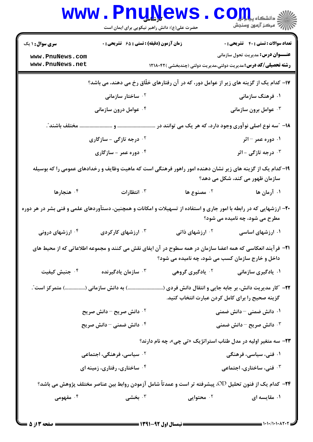|                                                                                                        | <b>www.Pnunews</b>                               | حضرت علی(ع): دانش راهبر نیکویی برای ایمان است | COIL,<br>رآ - مرڪز آزمون وسنڊش                                                                                                                                        |
|--------------------------------------------------------------------------------------------------------|--------------------------------------------------|-----------------------------------------------|-----------------------------------------------------------------------------------------------------------------------------------------------------------------------|
| <b>سری سوال : ۱ یک</b>                                                                                 | <b>زمان آزمون (دقیقه) : تستی : 65 گشریحی : 0</b> |                                               | <b>تعداد سوالات : تستي : 40 ٪ تشريحي : 0</b>                                                                                                                          |
| www.PnuNews.com<br>www.PnuNews.net                                                                     |                                                  |                                               | <b>عنـــوان درس:</b> مدیریت تحول سازمانی<br><b>رشته تحصیلی/کد درس:</b> مدیریت دولتی،مدیریت دولتی (چندبخشی )۱۲۱۸۰۴۲                                                    |
|                                                                                                        |                                                  |                                               | ۱۷– کدام یک از گزینه های زیر از عوامل دور، که در آن رفتارهای خلّاق رخ می دهند، می باشد؟                                                                               |
|                                                                                                        | ۰ <sup>۲</sup> ساختار سازمانی                    |                                               | ۱. فرهنگ سازمانی                                                                                                                                                      |
|                                                                                                        | ۰۴ عوامل درون سازمانی                            |                                               | ۰ <sup>۳ ع</sup> وامل برون سازمانی $\cdot$                                                                                                                            |
| ۱۸- "سه نوع اصلی نوآوری وجود دارد، که هر یک می توانند در …                                             |                                                  |                                               |                                                                                                                                                                       |
|                                                                                                        | <sup>۲</sup> ۰ درجه تازگی - سازگاری              |                                               | ۰۱ دوره عمر ۱۰۰ ثر                                                                                                                                                    |
|                                                                                                        | ۰۴ دوره عمر - سازگاری                            |                                               | ۰ <sup>۳</sup> درجه تازگی - اثر                                                                                                                                       |
|                                                                                                        |                                                  |                                               | ۱۹– کدام یک از گزینه های زیر نشان دهنده امور راهور فرهنگی است که ماهیت وظایف و رخدادهای عمومی را که بوسیله<br>سازمان ظهور می کند، شکل می دهد؟                         |
| ۰۴ هنجارها                                                                                             | انتظارات $\cdot$                                 | ۰۲ مصنوع ها                                   | ۰۱ آرمان ها                                                                                                                                                           |
|                                                                                                        |                                                  |                                               | +۲- ارزشهایی که در رابطه با امور جاری و استفاده از تسهیلات و امکانات و همچنین، دستآوردهای علمی و فنی بشر در هر دوره<br>مطرح می شود، چه نامیده می شود؟                 |
| ۰۴ ارزشهای درونی                                                                                       | ۰۳ ارزشهای کارکردی                               | <sup>۲.</sup> ارزشهای ذاتی                    | ۰۱ ارزشهای اساسی                                                                                                                                                      |
|                                                                                                        |                                                  |                                               | <b>ا۲−</b> فرآیند انعکاسی که همه اعضا سازمان در همه سطوح در آن ایفای نقش می کنند و مجموعه اطلاعاتی که از محیط های<br>داخل و خارج سازمان کسب می شود، چه نامیده می شود؟ |
| ۰۴ جنبش کیفیت                                                                                          | سازمان يادگيرنده $\cdot^{\mathsf{y}}$            | <sup>۲</sup> . یادگیری گروهی                  | ۰۱ یادگیری سازمانی                                                                                                                                                    |
|                                                                                                        |                                                  |                                               | ۲۲– "کار مدیریت دانش، بر جابه جایی و انتقال دانش فردی () به دانش سازمانی () متمرکز است".<br>گزینه صحیح را برای کامل کردن عبارت انتخاب کنید.                           |
|                                                                                                        | ۰۲ دانش صریح – دانش صریح                         |                                               | ۰۱ دانش ضمنی – دانش ضمنی                                                                                                                                              |
|                                                                                                        | ۰۴ دانش ضمنی – دانش صریح                         |                                               | دانش صریح $-$ دانش ضمنی $\cdot$                                                                                                                                       |
| ۲۳- سه متغیر اولیه در مدل طناب استراتژیک «تی چی»، چه نام دارند؟                                        |                                                  |                                               |                                                                                                                                                                       |
|                                                                                                        | ۰ <sup>۲</sup> سیاسی، فرهنگی، اجتماعی            |                                               | ۰۱ فنی، سیاسی، فرهنگی                                                                                                                                                 |
|                                                                                                        | ۰۴ ساختاری، رفتاری، زمینه ای                     |                                               | ۰ <sup>۳</sup> فنی، ساختاری، اجتماعی                                                                                                                                  |
| ۲۴− کدام یک از فنون تحلیل OD، پیشرفته تر است و عمدتاً شامل آزمودن روابط بین عناصر مختلف پژوهش می باشد؟ |                                                  |                                               |                                                                                                                                                                       |
| ۰۴ مفهومی                                                                                              | ۰۳ بخشی                                          | ۰۲ محتوایی                                    | ۰۱ مقایسه ای                                                                                                                                                          |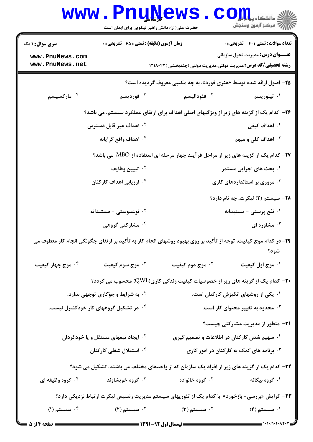|                                                                                            | <b>www.PnuNews</b>                                      | حضرت علی(ع): دانش راهبر نیکویی برای ایمان است | تح دانشگاه پ <b>یایا</b><br>تحصیلات<br>رآ مرکز آزمون وسنجش                                                                                                                                                                                                                                                                                                                                                            |  |
|--------------------------------------------------------------------------------------------|---------------------------------------------------------|-----------------------------------------------|-----------------------------------------------------------------------------------------------------------------------------------------------------------------------------------------------------------------------------------------------------------------------------------------------------------------------------------------------------------------------------------------------------------------------|--|
| <b>سری سوال :</b> ۱ یک                                                                     | <b>زمان آزمون (دقیقه) : تستی : 65 - تشریحی : 0</b>      |                                               | تعداد سوالات : تستى : 40 - تشريحي : 0                                                                                                                                                                                                                                                                                                                                                                                 |  |
| www.PnuNews.com<br>www.PnuNews.net                                                         |                                                         |                                               | <b>عنـــوان درس:</b> مدیریت تحول سازمانی<br><b>رشته تحصیلی/کد درس:</b> مدیریت دولتی،مدیریت دولتی (چندبخشی )۱۲۱۸۰۴۲                                                                                                                                                                                                                                                                                                    |  |
|                                                                                            |                                                         |                                               | ۲۵- اصول ارائه شده توسط «هنری فورد»، به چه مکتبی معروف گردیده است؟                                                                                                                                                                                                                                                                                                                                                    |  |
| ۰۴ مارکسیسم                                                                                | ۰۳ فوردیسم                                              | ۰۲ فئودالیسم                                  | ۰۱ تیلوریسم                                                                                                                                                                                                                                                                                                                                                                                                           |  |
|                                                                                            |                                                         |                                               | ۲۶– کدام یک از گزینه های زیر از ویژگیهای اصلی اهداف برای ارتقای عملکرد سیستم، می باشد؟                                                                                                                                                                                                                                                                                                                                |  |
|                                                                                            | ۰ <sup>۲</sup> اهداف غیر قابل دسترس                     |                                               | ۰۱ اهداف کیفی                                                                                                                                                                                                                                                                                                                                                                                                         |  |
|                                                                                            | ۰۴ اهداف واقع گرایانه                                   |                                               | اهداف کلی و مبهم $\cdot$ "                                                                                                                                                                                                                                                                                                                                                                                            |  |
| <b>۲۷</b> - کدام یک از گزینه های زیر از مراحل فرآیند چهار مرحله ای استفاده از MBO می باشد؟ |                                                         |                                               |                                                                                                                                                                                                                                                                                                                                                                                                                       |  |
|                                                                                            | <sup>٢</sup> ٠ تبيين وظايف                              |                                               | ۰۱ بحث های اجرایی مستمر                                                                                                                                                                                                                                                                                                                                                                                               |  |
|                                                                                            | ۰۴ ارزیابی اهداف کارکنان                                |                                               | ۰ <sup>۳</sup> مروری بر استانداردهای کاری $\cdot$                                                                                                                                                                                                                                                                                                                                                                     |  |
|                                                                                            |                                                         |                                               | <b>۲۸</b> - سیستم (۲) لیکرت، چه نام دارد؟                                                                                                                                                                                                                                                                                                                                                                             |  |
|                                                                                            | $^{\text{7}}\cdot$ نوعدوستى – مستبدانه                  |                                               | ۰۱ نفع پرستی - مستبدانه                                                                                                                                                                                                                                                                                                                                                                                               |  |
|                                                                                            | ۰ <sup>۴</sup> مشارکتی گروهی                            |                                               | شاوره ای $\cdot^{\intercal}$                                                                                                                                                                                                                                                                                                                                                                                          |  |
|                                                                                            |                                                         |                                               | ۲۹– در کدام موج کیفیت، توجه از تأکید بر روی بهبود روشهای انجام کار به تأکید بر ارتقای چگونگی انجام کار معطوف می<br>شود؟                                                                                                                                                                                                                                                                                               |  |
| ۰ <sup>۴</sup> موج چهار کیفیت                                                              | ۰۳ موج سوم کیفیت                                        | ۰ <sup>۲</sup> موج دوم کیفیت                  | ۰۱ موج اول کیفیت                                                                                                                                                                                                                                                                                                                                                                                                      |  |
|                                                                                            |                                                         |                                               | ۳۰– کدام یک از گزینه های زیر از خصوصیات کیفیت زندگی کاری(QWL) محسوب می گردد؟                                                                                                                                                                                                                                                                                                                                          |  |
|                                                                                            | <sup>۲</sup> ۰ به شرایط و جو <i>تک</i> اری توجهی ندارد. |                                               | ۰۱ یکی از روشهای انگیزش کارکنان است.                                                                                                                                                                                                                                                                                                                                                                                  |  |
|                                                                                            | ۰۴ در تشکیل گروههای کار خودکنترل نیست.                  |                                               | ۰۳ محدود به تغییر محتوای کار است. $\cdot$                                                                                                                                                                                                                                                                                                                                                                             |  |
|                                                                                            |                                                         |                                               | <b>۳۱</b> منظور از مدیریت مشارکتی چیست؟                                                                                                                                                                                                                                                                                                                                                                               |  |
|                                                                                            | <sup>۲</sup> ۰ ایجاد تیمهای مستقل و یا خودگردان         |                                               | ۰۱ سهیم شدن کارکنان در اطلاعات و تصمیم گیری                                                                                                                                                                                                                                                                                                                                                                           |  |
|                                                                                            | ۰۴ استقلال شغلی کارکنان                                 |                                               | ۰۳ برنامه های کمک به کارکنان در امور کاری                                                                                                                                                                                                                                                                                                                                                                             |  |
|                                                                                            |                                                         |                                               | ۳۲– کدام یک از گزینه های زیر از افراد یک سازمان که از واحدهای مختلف می باشند، تشکیل می شود؟                                                                                                                                                                                                                                                                                                                           |  |
| ۰۴ گروه وظیفه ای                                                                           | ۰ <sup>۳</sup> گروه خویشاوند                            | ۰ <sup>۲</sup> گروه خانواده                   | ۰۱ گروه بیگانه                                                                                                                                                                                                                                                                                                                                                                                                        |  |
|                                                                                            |                                                         |                                               | <b>۳۳</b> - گرایش «بررسی- بازخورد» با کدام یک از تئوریهای سیستم مدیریت رنسیس لیکرت ارتباط نزدیکی دارد؟                                                                                                                                                                                                                                                                                                                |  |
| $\mathfrak{h}$ ۰۴ سیستم (۱)                                                                | ۰ <sup>۳</sup> سیستم (۲) $\cdot$                        | ۰ <sup>۲</sup> سیستم (۳)                      | ۰۱ سیستم (۴)                                                                                                                                                                                                                                                                                                                                                                                                          |  |
| <b>ــ صفحه 4 از 5</b>                                                                      |                                                         |                                               | $\frac{1}{1-\frac{1}{1-\frac{1}{1-\frac{1}{1-\frac{1}{1-\frac{1}{1-\frac{1}{1-\frac{1}{1-\frac{1}{1-\frac{1}{1-\frac{1}{1-\frac{1}{1-\frac{1}{1-\frac{1}{1-\frac{1}{1-\frac{1}{1-\frac{1}{1-\frac{1}{1-\frac{1}{1-\frac{1}{1-\frac{1}{1-\frac{1}{1-\frac{1}{1-\frac{1}{1-\frac{1}{1-\frac{1}{1-\frac{1}{1-\frac{1}{1-\frac{1}{1-\frac{1}{1-\frac{1}{1-\frac{1}{1-\frac{1}{1-\frac{1}{1-\frac{1}{1-\frac{1}{1-\frac{1$ |  |